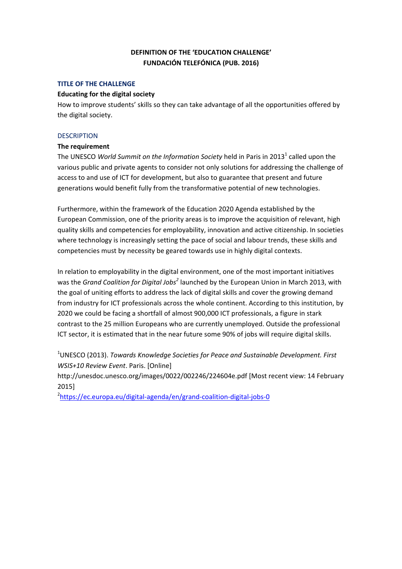# **DEFINITION OF THE 'EDUCATION CHALLENGE' FUNDACIÓN TELEFÓNICA (PUB. 2016)**

### **TITLE OF THE CHALLENGE**

### **Educating for the digital society**

How to improve students' skills so they can take advantage of all the opportunities offered by the digital society.

### **DESCRIPTION**

#### **The requirement**

The UNESCO *World Summit on the Information Society* held in Paris in 2013<sup>1</sup> called upon the various public and private agents to consider not only solutions for addressing the challenge of access to and use of ICT for development, but also to guarantee that present and future generations would benefit fully from the transformative potential of new technologies.

Furthermore, within the framework of the Education 2020 Agenda established by the European Commission, one of the priority areas is to improve the acquisition of relevant, high quality skills and competencies for employability, innovation and active citizenship. In societies where technology is increasingly setting the pace of social and labour trends, these skills and competencies must by necessity be geared towards use in highly digital contexts.

In relation to employability in the digital environment, one of the most important initiatives was the *Grand Coalition for Digital Jobs<sup>2</sup>* launched by the European Union in March 2013, with the goal of uniting efforts to address the lack of digital skills and cover the growing demand from industry for ICT professionals across the whole continent. According to this institution, by 2020 we could be facing a shortfall of almost 900,000 ICT professionals, a figure in stark contrast to the 25 million Europeans who are currently unemployed. Outside the professional ICT sector, it is estimated that in the near future some 90% of jobs will require digital skills.

1 UNESCO (2013). *Towards Knowledge Societies for Peace and Sustainable Development. First WSIS+10 Review Event*. Paris. [Online]

http://unesdoc.unesco.org/images/0022/002246/224604e.pdf [Most recent view: 14 February 2015]

2 https://ec.europa.eu/digital‐agenda/en/grand‐coalition‐digital‐jobs‐0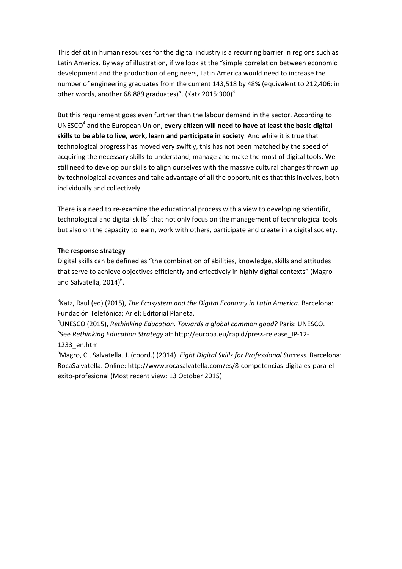This deficit in human resources for the digital industry is a recurring barrier in regions such as Latin America. By way of illustration, if we look at the "simple correlation between economic development and the production of engineers, Latin America would need to increase the number of engineering graduates from the current 143,518 by 48% (equivalent to 212,406; in other words, another 68,889 graduates)". (Katz 2015:300)<sup>3</sup>.

But this requirement goes even further than the labour demand in the sector. According to UNESCO4 and the European Union, **every citizen will need to have at least the basic digital skills to be able to live, work, learn and participate in society**. And while it is true that technological progress has moved very swiftly, this has not been matched by the speed of acquiring the necessary skills to understand, manage and make the most of digital tools. We still need to develop our skills to align ourselves with the massive cultural changes thrown up by technological advances and take advantage of all the opportunities that this involves, both individually and collectively.

There is a need to re-examine the educational process with a view to developing scientific, technological and digital skills<sup>5</sup> that not only focus on the management of technological tools but also on the capacity to learn, work with others, participate and create in a digital society.

## **The response strategy**

Digital skills can be defined as "the combination of abilities, knowledge, skills and attitudes that serve to achieve objectives efficiently and effectively in highly digital contexts" (Magro and Salvatella,  $2014)$ <sup>6</sup>.

3 Katz, Raul (ed) (2015), *The Ecosystem and the Digital Economy in Latin America*. Barcelona: Fundación Telefónica; Ariel; Editorial Planeta.

4 UNESCO (2015), *Rethinking Education. Towards a global common good?* Paris: UNESCO. 5 See *Rethinking Education Strategy* at: http://europa.eu/rapid/press‐release\_IP‐12‐ 1233\_en.htm

6 Magro, C., Salvatella, J. (coord.) (2014). *Eight Digital Skills for Professional Success*. Barcelona: RocaSalvatella. Online: http://www.rocasalvatella.com/es/8‐competencias‐digitales‐para‐el‐ exito‐profesional (Most recent view: 13 October 2015)